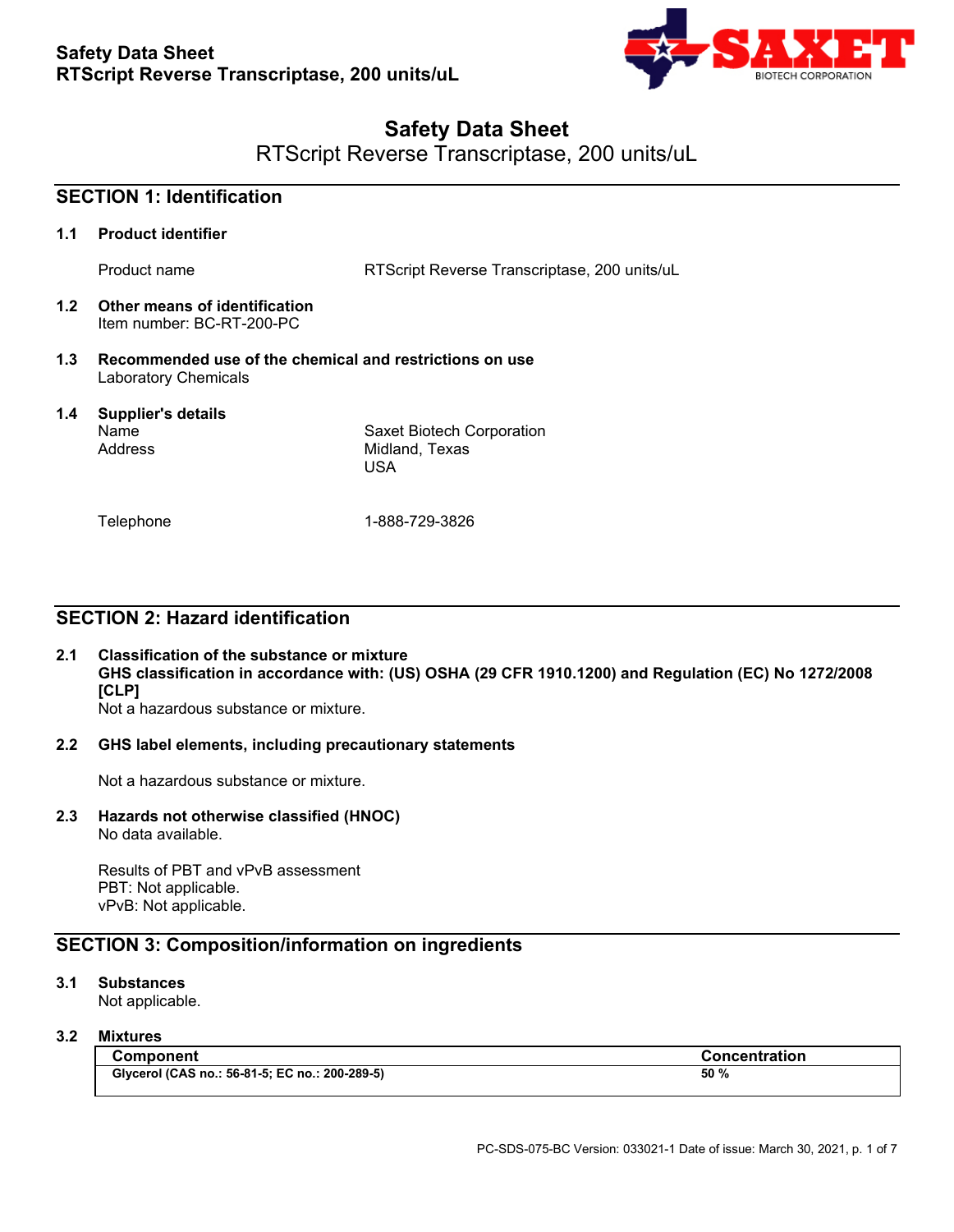

# **Safety Data Sheet**

RTScript Reverse Transcriptase, 200 units/uL

|     | <b>SECTION 1: Identification</b>                                                       |                                                     |
|-----|----------------------------------------------------------------------------------------|-----------------------------------------------------|
| 1.1 | <b>Product identifier</b>                                                              |                                                     |
|     | Product name                                                                           | RTScript Reverse Transcriptase, 200 units/uL        |
| 1.2 | Other means of identification<br>Item number: BC-RT-200-PC                             |                                                     |
| 1.3 | Recommended use of the chemical and restrictions on use<br><b>Laboratory Chemicals</b> |                                                     |
| 1.4 | <b>Supplier's details</b><br>Name<br>Address                                           | Saxet Biotech Corporation<br>Midland, Texas<br>USA. |
|     | Telephone                                                                              | 1-888-729-3826                                      |

## **SECTION 2: Hazard identification**

#### **2.1 Classification of the substance or mixture GHS classification in accordance with: (US) OSHA (29 CFR 1910.1200) and Regulation (EC) No 1272/2008 [CLP]** Not a hazardous substance or mixture.

#### **2.2 GHS label elements, including precautionary statements**

Not a hazardous substance or mixture.

## **2.3 Hazards not otherwise classified (HNOC)**

No data available.

Results of PBT and vPvB assessment PBT: Not applicable. vPvB: Not applicable.

## **SECTION 3: Composition/information on ingredients**

#### **3.1 Substances**

Not applicable.

#### **3.2 Mixtures**

| <b>Component</b>                               | <b>Concentration</b> |
|------------------------------------------------|----------------------|
| Glycerol (CAS no.: 56-81-5; EC no.: 200-289-5) | 50 %                 |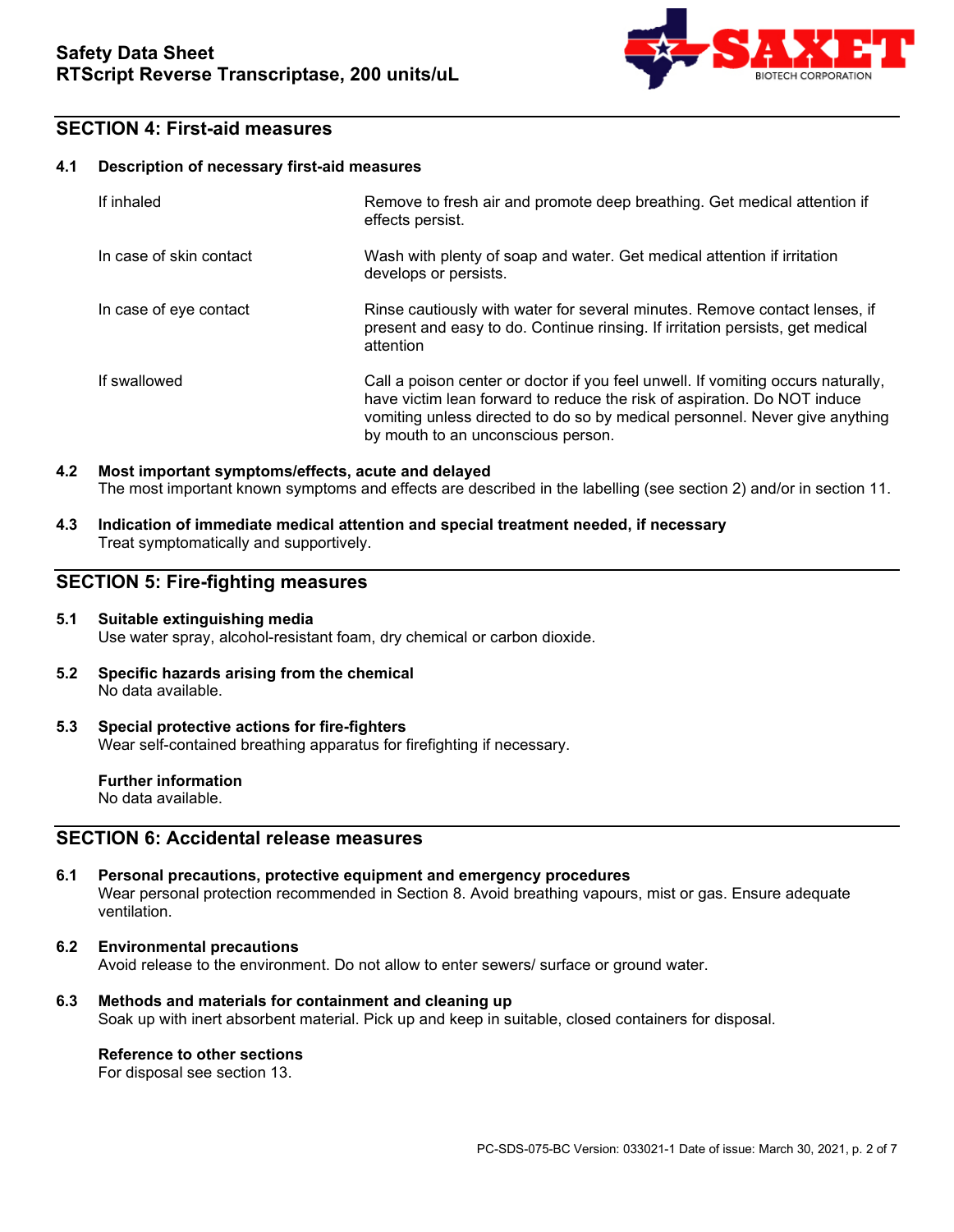

### **SECTION 4: First-aid measures**

#### **4.1 Description of necessary first-aid measures**

| If inhaled              | Remove to fresh air and promote deep breathing. Get medical attention if<br>effects persist.                                                                                                                                                                                      |
|-------------------------|-----------------------------------------------------------------------------------------------------------------------------------------------------------------------------------------------------------------------------------------------------------------------------------|
| In case of skin contact | Wash with plenty of soap and water. Get medical attention if irritation<br>develops or persists.                                                                                                                                                                                  |
| In case of eye contact  | Rinse cautiously with water for several minutes. Remove contact lenses, if<br>present and easy to do. Continue rinsing. If irritation persists, get medical<br>attention                                                                                                          |
| If swallowed            | Call a poison center or doctor if you feel unwell. If vomiting occurs naturally,<br>have victim lean forward to reduce the risk of aspiration. Do NOT induce<br>vomiting unless directed to do so by medical personnel. Never give anything<br>by mouth to an unconscious person. |

#### **4.2 Most important symptoms/effects, acute and delayed** The most important known symptoms and effects are described in the labelling (see section 2) and/or in section 11.

**4.3 Indication of immediate medical attention and special treatment needed, if necessary** Treat symptomatically and supportively.

### **SECTION 5: Fire-fighting measures**

#### **5.1 Suitable extinguishing media** Use water spray, alcohol-resistant foam, dry chemical or carbon dioxide.

- **5.2 Specific hazards arising from the chemical** No data available.
- **5.3 Special protective actions for fire-fighters** Wear self-contained breathing apparatus for firefighting if necessary.

**Further information** No data available.

### **SECTION 6: Accidental release measures**

- **6.1 Personal precautions, protective equipment and emergency procedures** Wear personal protection recommended in Section 8. Avoid breathing vapours, mist or gas. Ensure adequate ventilation.
- **6.2 Environmental precautions** Avoid release to the environment. Do not allow to enter sewers/ surface or ground water.
- **6.3 Methods and materials for containment and cleaning up** Soak up with inert absorbent material. Pick up and keep in suitable, closed containers for disposal.

#### **Reference to other sections**

For disposal see section 13.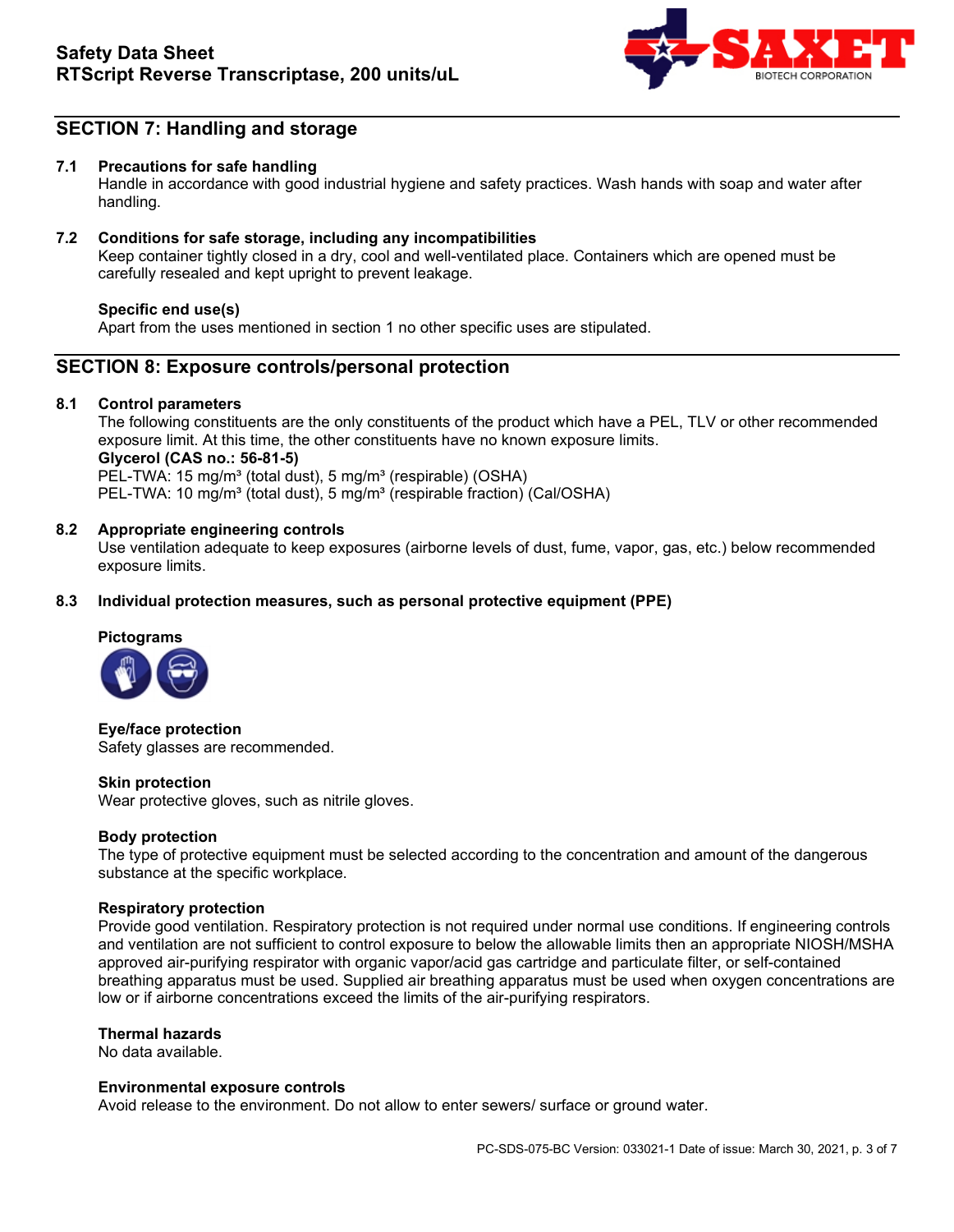

## **SECTION 7: Handling and storage**

#### **7.1 Precautions for safe handling**

Handle in accordance with good industrial hygiene and safety practices. Wash hands with soap and water after handling.

#### **7.2 Conditions for safe storage, including any incompatibilities**

Keep container tightly closed in a dry, cool and well-ventilated place. Containers which are opened must be carefully resealed and kept upright to prevent leakage.

#### **Specific end use(s)**

Apart from the uses mentioned in section 1 no other specific uses are stipulated.

### **SECTION 8: Exposure controls/personal protection**

#### **8.1 Control parameters**

The following constituents are the only constituents of the product which have a PEL, TLV or other recommended exposure limit. At this time, the other constituents have no known exposure limits. **Glycerol (CAS no.: 56-81-5)**  PEL-TWA: 15 mg/m<sup>3</sup> (total dust), 5 mg/m<sup>3</sup> (respirable) (OSHA) PEL-TWA: 10 mg/m<sup>3</sup> (total dust), 5 mg/m<sup>3</sup> (respirable fraction) (Cal/OSHA)

#### **8.2 Appropriate engineering controls**

Use ventilation adequate to keep exposures (airborne levels of dust, fume, vapor, gas, etc.) below recommended exposure limits.

#### **8.3 Individual protection measures, such as personal protective equipment (PPE)**

## **Pictograms**



**Eye/face protection** Safety glasses are recommended.

#### **Skin protection**

Wear protective gloves, such as nitrile gloves.

#### **Body protection**

The type of protective equipment must be selected according to the concentration and amount of the dangerous substance at the specific workplace.

#### **Respiratory protection**

Provide good ventilation. Respiratory protection is not required under normal use conditions. If engineering controls and ventilation are not sufficient to control exposure to below the allowable limits then an appropriate NIOSH/MSHA approved air-purifying respirator with organic vapor/acid gas cartridge and particulate filter, or self-contained breathing apparatus must be used. Supplied air breathing apparatus must be used when oxygen concentrations are low or if airborne concentrations exceed the limits of the air-purifying respirators.

#### **Thermal hazards**

No data available.

#### **Environmental exposure controls**

Avoid release to the environment. Do not allow to enter sewers/ surface or ground water.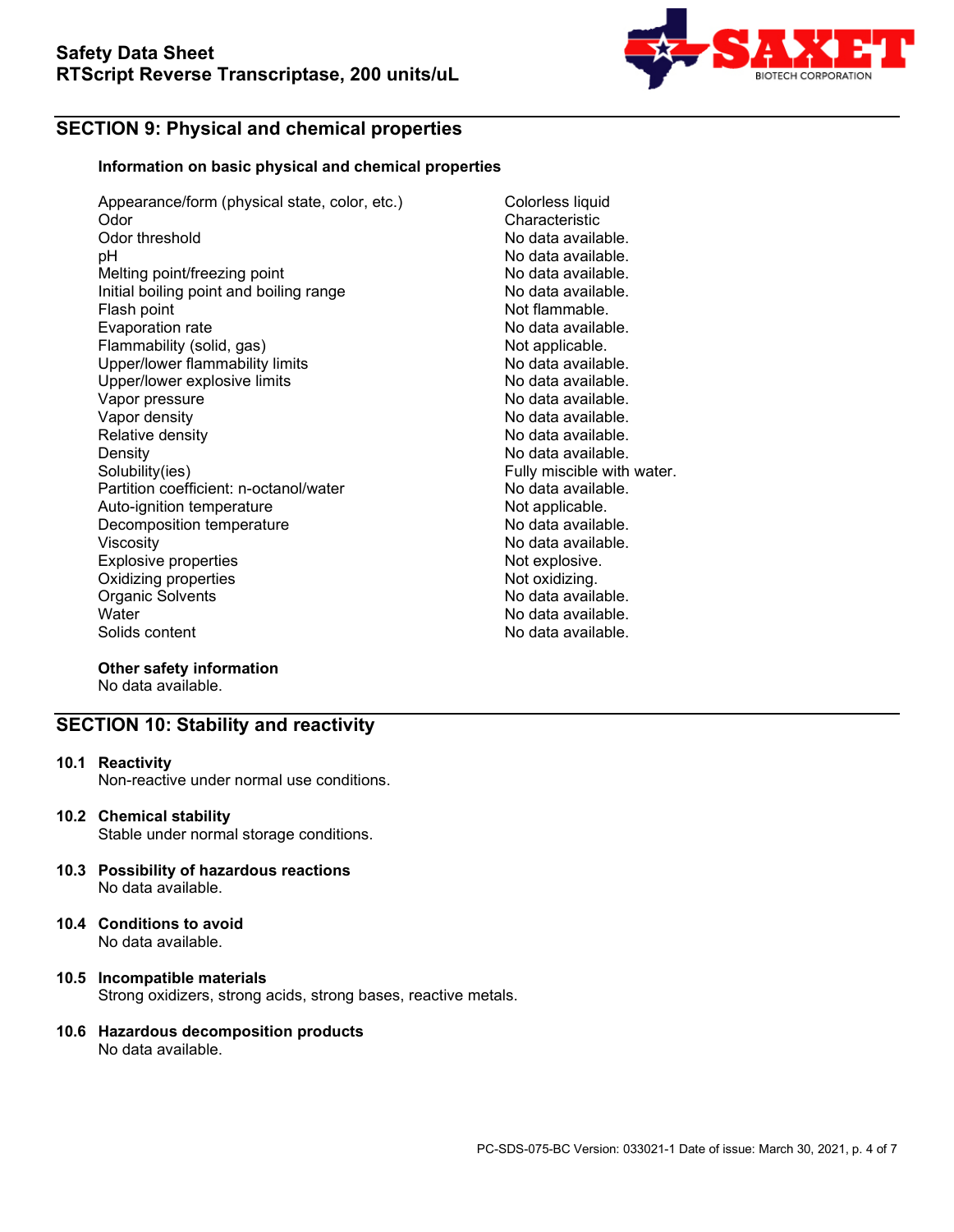

## **SECTION 9: Physical and chemical properties**

#### **Information on basic physical and chemical properties**

Appearance/form (physical state, color, etc.) Colorless liquid<br>Odor Characteristic Odor Characteristic<br>
Odor threshold Characteristic<br>
Odor threshold Characteristic Odor threshold **Odor threshold** Controller Modata available.<br>
Dependent Controller Modata available. Melting point/freezing point Initial boiling point and boiling range No data available.<br>Flash point and boiling range Not flammable. Evaporation rate Flammability (solid, gas) Not applicable.<br>
Upper/lower flammability limits No data available. Upper/lower flammability limits and the second that the No data available.<br>Upper/lower explosive limits and the No data available. Upper/lower explosive limits and the settlement of the No data available.<br>Vapor pressure No data available. Vapor pressure<br>Vapor density Vapor density<br>
Relative density<br>
Relative density<br>
No data available. Density<br>
Density<br>
Solubility(ies)<br>
Solubility(ies) Partition coefficient: n-octanol/water Auto-ignition temperature and the Not applicable.<br>Decomposition temperature Not applicable. Decomposition temperature<br>Viscosity Explosive properties<br>
Oxidizing properties<br>
Oxidizing properties Oxidizing properties and the control of the Not oxidizing.<br>
Organic Solvents (Not oxidizing the Note of Notice and Not oxidizing the Note of Notice and Note of Note of N Organic Solvents<br>Water Water No data available.<br>
No data available.<br>
No data available.

No data available.<br>No data available. Not flammable.<br>No data available. No data available. Fully miscible with water.<br>No data available. No data available.<br>Not explosive. No data available.

#### **Other safety information** No data available.

## **SECTION 10: Stability and reactivity**

**10.1 Reactivity** 

Non-reactive under normal use conditions.

**10.2 Chemical stability**

Stable under normal storage conditions.

- **10.3 Possibility of hazardous reactions**  No data available.
- **10.4 Conditions to avoid** No data available.

#### **10.5 Incompatible materials** Strong oxidizers, strong acids, strong bases, reactive metals.

#### **10.6 Hazardous decomposition products** No data available.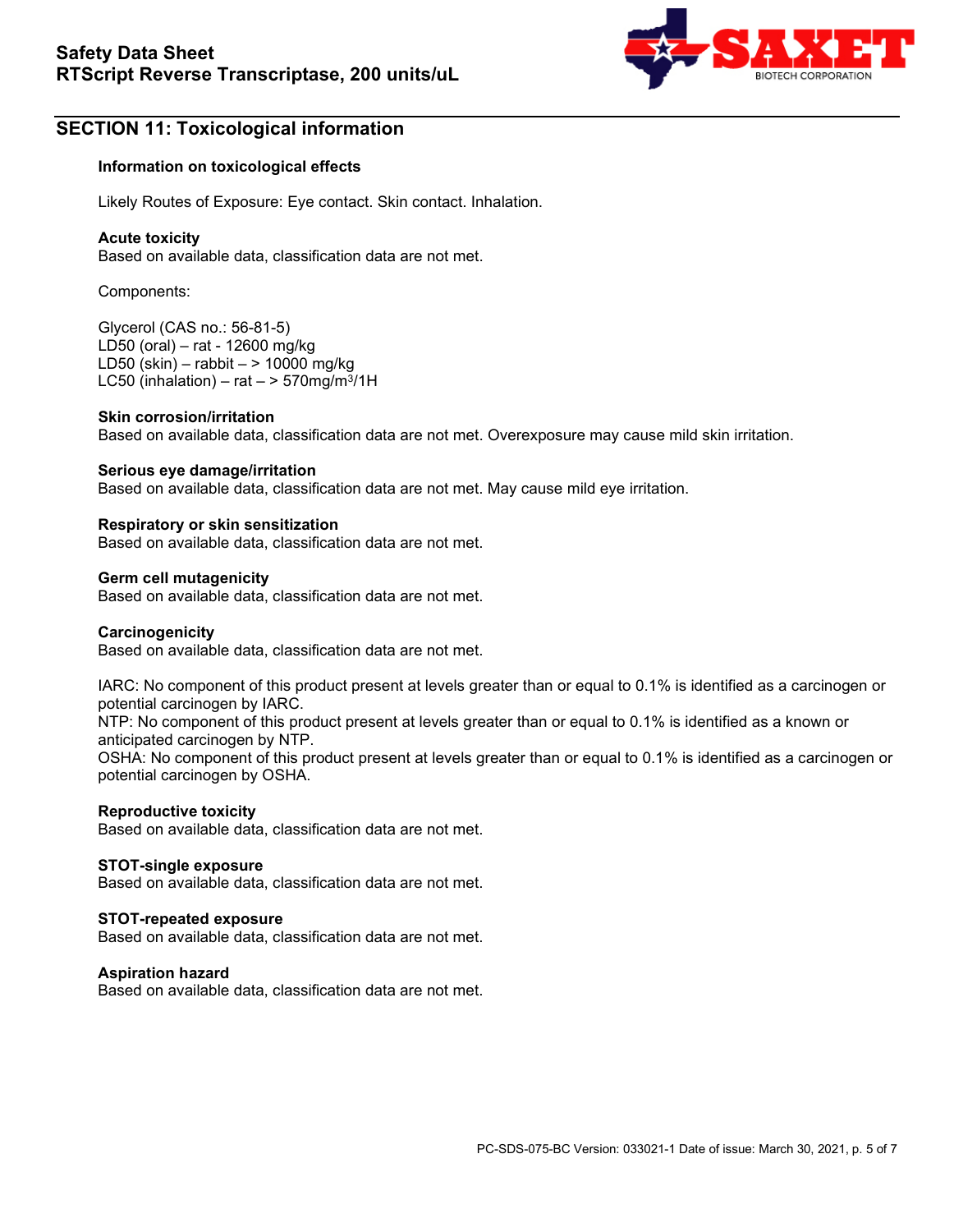

## **SECTION 11: Toxicological information**

#### **Information on toxicological effects**

Likely Routes of Exposure: Eye contact. Skin contact. Inhalation.

#### **Acute toxicity**

Based on available data, classification data are not met.

Components:

Glycerol (CAS no.: 56-81-5) LD50 (oral) – rat - 12600 mg/kg LD50 (skin) – rabbit – > 10000 mg/kg LC50 (inhalation) – rat  $-$  > 570mg/m<sup>3</sup>/1H

#### **Skin corrosion/irritation**

Based on available data, classification data are not met. Overexposure may cause mild skin irritation.

#### **Serious eye damage/irritation**

Based on available data, classification data are not met. May cause mild eye irritation.

#### **Respiratory or skin sensitization**

Based on available data, classification data are not met.

#### **Germ cell mutagenicity**

Based on available data, classification data are not met.

#### **Carcinogenicity**

Based on available data, classification data are not met.

IARC: No component of this product present at levels greater than or equal to 0.1% is identified as a carcinogen or potential carcinogen by IARC.

NTP: No component of this product present at levels greater than or equal to 0.1% is identified as a known or anticipated carcinogen by NTP.

OSHA: No component of this product present at levels greater than or equal to 0.1% is identified as a carcinogen or potential carcinogen by OSHA.

#### **Reproductive toxicity**

Based on available data, classification data are not met.

#### **STOT-single exposure**

Based on available data, classification data are not met.

#### **STOT-repeated exposure**

Based on available data, classification data are not met.

#### **Aspiration hazard**

Based on available data, classification data are not met.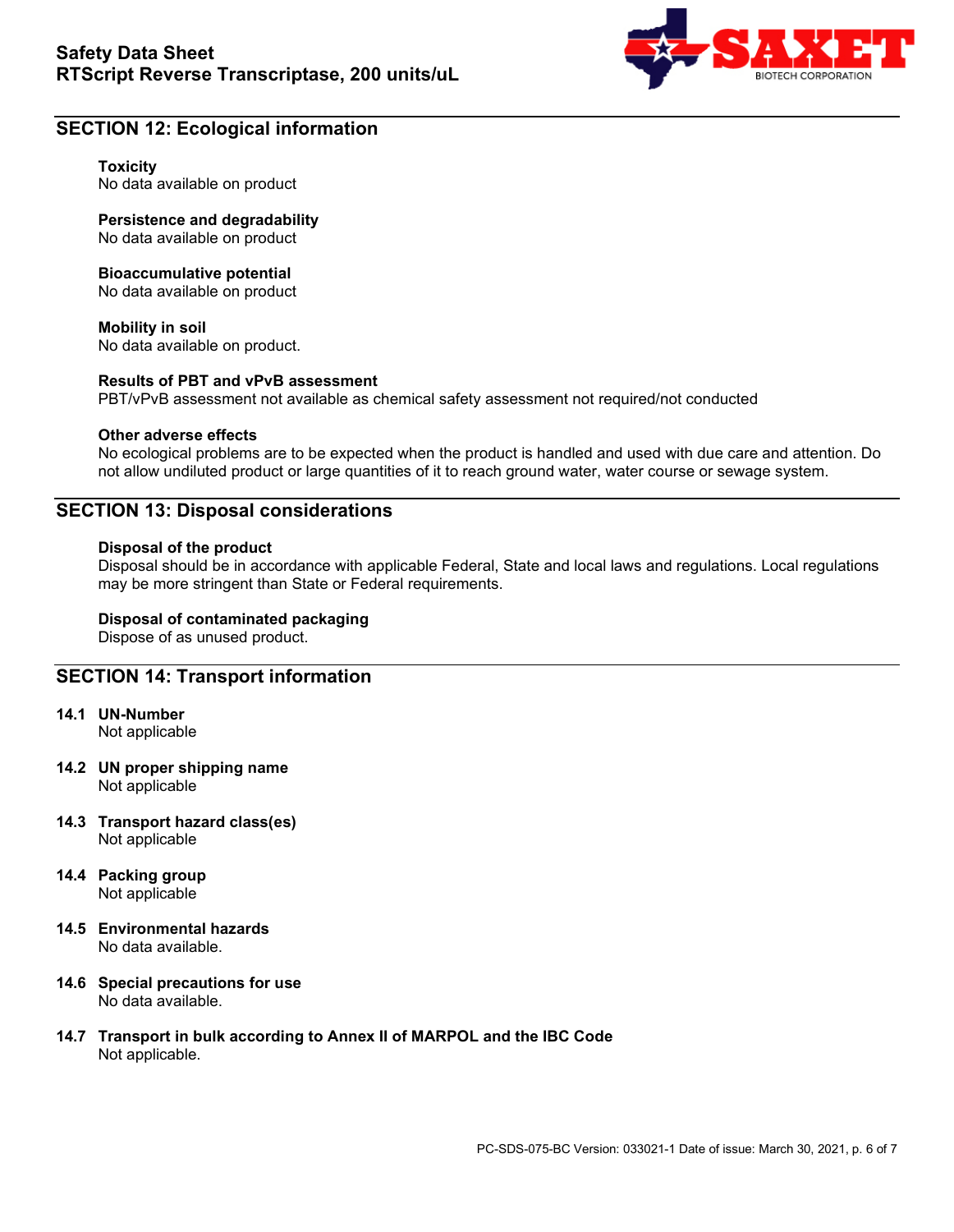

### **SECTION 12: Ecological information**

#### **Toxicity**

No data available on product

**Persistence and degradability** No data available on product

#### **Bioaccumulative potential**

No data available on product

#### **Mobility in soil**

No data available on product.

#### **Results of PBT and vPvB assessment**

PBT/vPvB assessment not available as chemical safety assessment not required/not conducted

#### **Other adverse effects**

No ecological problems are to be expected when the product is handled and used with due care and attention. Do not allow undiluted product or large quantities of it to reach ground water, water course or sewage system.

### **SECTION 13: Disposal considerations**

#### **Disposal of the product**

Disposal should be in accordance with applicable Federal, State and local laws and regulations. Local regulations may be more stringent than State or Federal requirements.

#### **Disposal of contaminated packaging**

Dispose of as unused product.

### **SECTION 14: Transport information**

- **14.1 UN-Number** Not applicable
- **14.2 UN proper shipping name** Not applicable
- **14.3 Transport hazard class(es)** Not applicable
- **14.4 Packing group** Not applicable
- **14.5 Environmental hazards** No data available.
- **14.6 Special precautions for use** No data available.
- **14.7 Transport in bulk according to Annex II of MARPOL and the IBC Code** Not applicable.